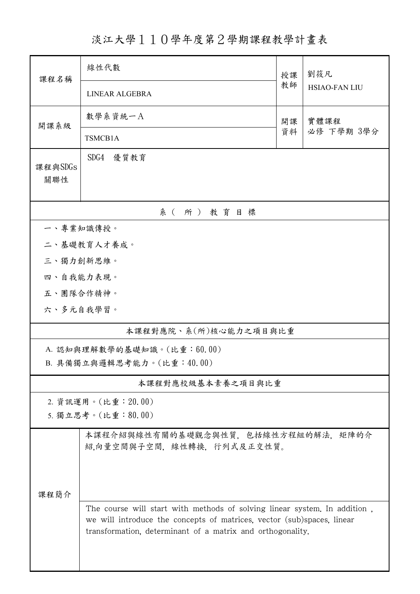淡江大學110學年度第2學期課程教學計畫表

| 課程名稱                       | 線性代數                                                                                                                                                                                                              | 授課         | 劉筱凡<br><b>HSIAO-FAN LIU</b> |  |  |  |  |  |
|----------------------------|-------------------------------------------------------------------------------------------------------------------------------------------------------------------------------------------------------------------|------------|-----------------------------|--|--|--|--|--|
|                            | LINEAR ALGEBRA                                                                                                                                                                                                    | 教師         |                             |  |  |  |  |  |
| 開課系級                       | 數學系資統一A                                                                                                                                                                                                           | 實體課程<br>開課 |                             |  |  |  |  |  |
|                            | TSMCB1A                                                                                                                                                                                                           | 資料         | 必修 下學期 3學分                  |  |  |  |  |  |
| 課程與SDGs<br>關聯性             | SDG4<br>優質教育                                                                                                                                                                                                      |            |                             |  |  |  |  |  |
| 系(所)教育目標                   |                                                                                                                                                                                                                   |            |                             |  |  |  |  |  |
| 一、專業知識傳授。                  |                                                                                                                                                                                                                   |            |                             |  |  |  |  |  |
|                            | 二、基礎教育人才養成。                                                                                                                                                                                                       |            |                             |  |  |  |  |  |
| 三、獨力創新思維。                  |                                                                                                                                                                                                                   |            |                             |  |  |  |  |  |
| 四、自我能力表現。                  |                                                                                                                                                                                                                   |            |                             |  |  |  |  |  |
| 五、團隊合作精神。                  |                                                                                                                                                                                                                   |            |                             |  |  |  |  |  |
| 六、多元自我學習。                  |                                                                                                                                                                                                                   |            |                             |  |  |  |  |  |
| 本課程對應院、系(所)核心能力之項目與比重      |                                                                                                                                                                                                                   |            |                             |  |  |  |  |  |
| A. 認知與理解數學的基礎知識。(比重:60.00) |                                                                                                                                                                                                                   |            |                             |  |  |  |  |  |
|                            | B. 具備獨立與邏輯思考能力。(比重:40.00)                                                                                                                                                                                         |            |                             |  |  |  |  |  |
| 本課程對應校級基本素養之項目與比重          |                                                                                                                                                                                                                   |            |                             |  |  |  |  |  |
|                            | 2. 資訊運用。(比重: 20.00)                                                                                                                                                                                               |            |                             |  |  |  |  |  |
|                            | 5. 獨立思考。(比重:80.00)                                                                                                                                                                                                |            |                             |  |  |  |  |  |
|                            | 本課程介紹與線性有關的基礎觀念與性質,包括線性方程組的解法,矩陣的介<br>紹,向量空間與子空間, 線性轉換, 行列式及正交性質。                                                                                                                                                 |            |                             |  |  |  |  |  |
| 課程簡介                       |                                                                                                                                                                                                                   |            |                             |  |  |  |  |  |
|                            | The course will start with methods of solving linear system. In addition,<br>we will introduce the concepts of matrices, vector (sub)spaces, linear<br>transformation, determinant of a matrix and orthogonality. |            |                             |  |  |  |  |  |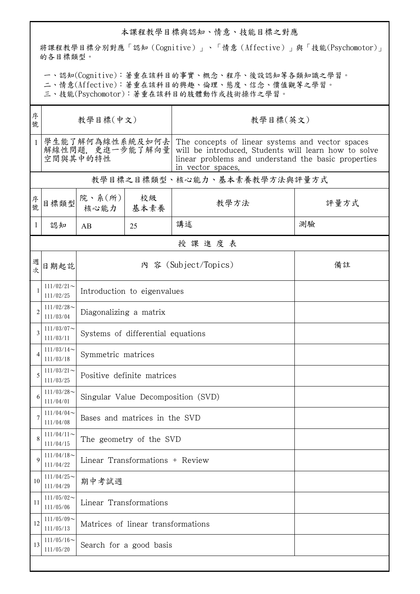## 本課程教學目標與認知、情意、技能目標之對應

將課程教學目標分別對應「認知(Cognitive)」、「情意(Affective)」與「技能(Psychomotor)」 的各目標類型。

一、認知(Cognitive):著重在該科目的事實、概念、程序、後設認知等各類知識之學習。

二、情意(Affective):著重在該科目的興趣、倫理、態度、信念、價值觀等之學習。

三、技能(Psychomotor):著重在該科目的肢體動作或技術操作之學習。

| 序<br>號         | 教學目標(中文)                                       |                                    |                         | 教學目標(英文)                                                                                                                                                                             |      |  |  |  |
|----------------|------------------------------------------------|------------------------------------|-------------------------|--------------------------------------------------------------------------------------------------------------------------------------------------------------------------------------|------|--|--|--|
| $\mathbf{1}$   | 學生能了解何為線性系統及如何去<br>解線性問題,更進一步能了解向量<br>空間與其中的特性 |                                    |                         | The concepts of linear systems and vector spaces<br>will be introduced. Students will learn how to solve<br>linear problems and understand the basic properties<br>in vector spaces. |      |  |  |  |
|                | 教學目標之目標類型、核心能力、基本素養教學方法與評量方式                   |                                    |                         |                                                                                                                                                                                      |      |  |  |  |
| 序號             | 目標類型                                           | 院、系 $(\kappa)$<br>核心能力   基本素養      | 校級                      | 教學方法                                                                                                                                                                                 | 評量方式 |  |  |  |
| 1              | 認知                                             | AB                                 | 25                      | 講述                                                                                                                                                                                   | 測驗   |  |  |  |
| 授課進度表          |                                                |                                    |                         |                                                                                                                                                                                      |      |  |  |  |
| 週<br>次         | 日期起訖                                           | 內 容 (Subject/Topics)<br>備註         |                         |                                                                                                                                                                                      |      |  |  |  |
| 1              | $111/02/21$ ~<br>111/02/25                     | Introduction to eigenvalues        |                         |                                                                                                                                                                                      |      |  |  |  |
| $\overline{2}$ | $111/02/28$ ~<br>111/03/04                     | Diagonalizing a matrix             |                         |                                                                                                                                                                                      |      |  |  |  |
| 3              | $111/03/07$ ~<br>111/03/11                     | Systems of differential equations  |                         |                                                                                                                                                                                      |      |  |  |  |
| 4              | $111/03/14$ ~<br>111/03/18                     | Symmetric matrices                 |                         |                                                                                                                                                                                      |      |  |  |  |
| 5              | $111/03/21$ ~<br>111/03/25                     | Positive definite matrices         |                         |                                                                                                                                                                                      |      |  |  |  |
| 6              | $111/03/28$ ~<br>111/04/01                     | Singular Value Decomposition (SVD) |                         |                                                                                                                                                                                      |      |  |  |  |
| 7              | $111/04/04$ ~<br>111/04/08                     | Bases and matrices in the SVD      |                         |                                                                                                                                                                                      |      |  |  |  |
| 8              | $111/04/11$ ~<br>111/04/15                     | The geometry of the SVD            |                         |                                                                                                                                                                                      |      |  |  |  |
| 9              | $111/04/18$ ~<br>111/04/22                     | Linear Transformations + Review    |                         |                                                                                                                                                                                      |      |  |  |  |
| 10             | $111/04/25$ ~<br>111/04/29                     | 期中考試週                              |                         |                                                                                                                                                                                      |      |  |  |  |
| 11             | $111/05/02$ ~<br>111/05/06                     | Linear Transformations             |                         |                                                                                                                                                                                      |      |  |  |  |
| 12             | $111/05/09$ ~<br>111/05/13                     | Matrices of linear transformations |                         |                                                                                                                                                                                      |      |  |  |  |
| 13             | $111/05/16$ ~<br>111/05/20                     |                                    | Search for a good basis |                                                                                                                                                                                      |      |  |  |  |
|                |                                                |                                    |                         |                                                                                                                                                                                      |      |  |  |  |